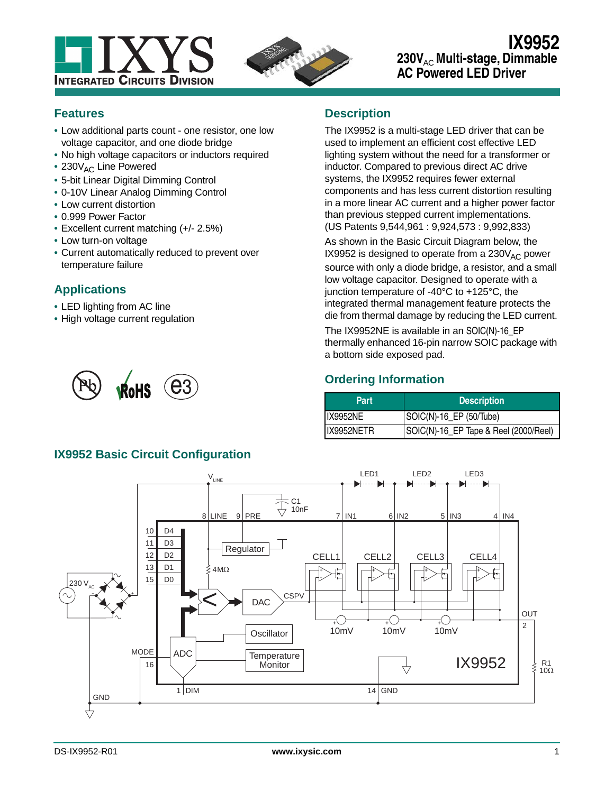



# **IX9952** 230V<sub>AC</sub> Multi-stage, Dimmable **AC Powered LED Driver**

### **Features**

- **•** Low additional parts count one resistor, one low voltage capacitor, and one diode bridge
- **•** No high voltage capacitors or inductors required
- 230V<sub>AC</sub> Line Powered
- **•** 5-bit Linear Digital Dimming Control
- **•** 0-10V Linear Analog Dimming Control
- **•** Low current distortion
- **•** 0.999 Power Factor
- **•** Excellent current matching (+/- 2.5%)
- **•** Low turn-on voltage
- **•** Current automatically reduced to prevent over temperature failure

# **Applications**

- **•** LED lighting from AC line
- **•** High voltage current regulation



# **Description**

The IX9952 is a multi-stage LED driver that can be used to implement an efficient cost effective LED lighting system without the need for a transformer or inductor. Compared to previous direct AC drive systems, the IX9952 requires fewer external components and has less current distortion resulting in a more linear AC current and a higher power factor than previous stepped current implementations. (US Patents 9,544,961 : 9,924,573 : 9,992,833)

As shown in the Basic Circuit Diagram below, the IX9952 is designed to operate from a  $230V_{AC}$  power source with only a diode bridge, a resistor, and a small low voltage capacitor. Designed to operate with a junction temperature of -40°C to +125°C, the integrated thermal management feature protects the die from thermal damage by reducing the LED current.

The IX9952NE is available in an SOIC(N)-16\_EP thermally enhanced 16-pin narrow SOIC package with a bottom side exposed pad.

# **Ordering Information**

| <b>Part</b>     | <b>Description</b>                    |  |  |
|-----------------|---------------------------------------|--|--|
| <b>IX9952NE</b> | SOIC(N)-16_EP (50/Tube)               |  |  |
| IX9952NETR      | SOIC(N)-16_EP Tape & Reel (2000/Reel) |  |  |

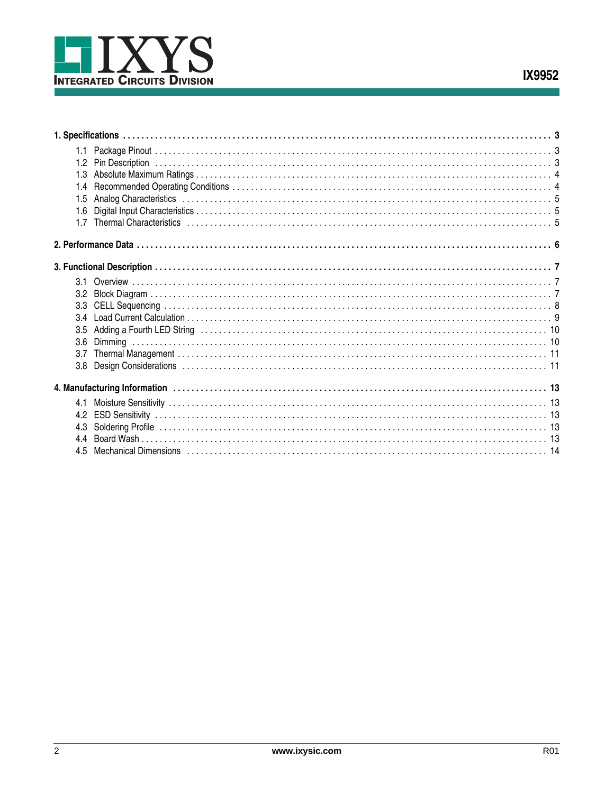

| 1.3 |  |
|-----|--|
| 1.4 |  |
| 1.5 |  |
| 1.6 |  |
| 17  |  |
|     |  |
|     |  |
|     |  |
|     |  |
|     |  |
|     |  |
| 3.5 |  |
| 3.6 |  |
| 3.7 |  |
|     |  |
|     |  |
| 4.1 |  |
|     |  |
| 4.3 |  |
| 4.4 |  |
| 45  |  |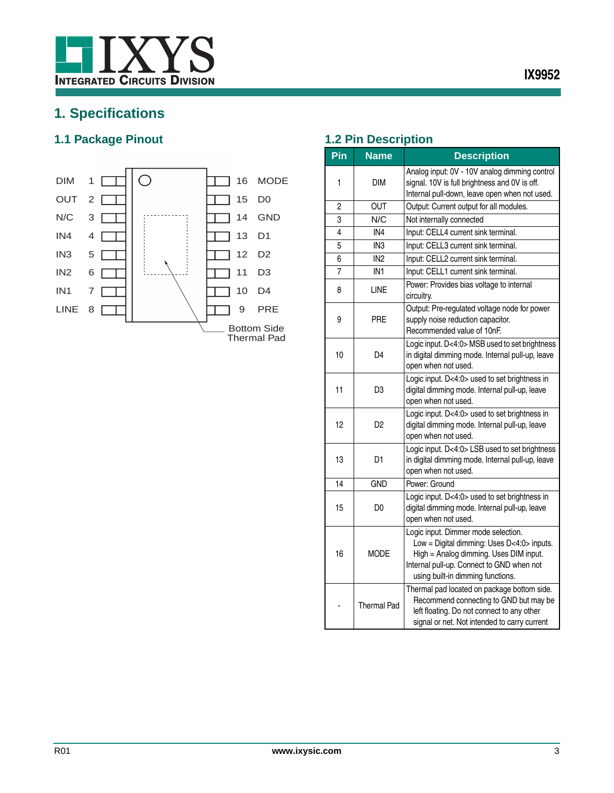

# <span id="page-2-0"></span>**1. Specifications**

# <span id="page-2-1"></span>**1.1 Package Pinout 1.2 Pin Description**



<span id="page-2-2"></span>

| Pin | <b>Name</b>     | <b>Description</b>                                                                                                                                                                                            |  |  |
|-----|-----------------|---------------------------------------------------------------------------------------------------------------------------------------------------------------------------------------------------------------|--|--|
| 1   | DIM             | Analog input: 0V - 10V analog dimming control<br>signal. 10V is full brightness and 0V is off.<br>Internal pull-down, leave open when not used.                                                               |  |  |
| 2   | OUT             | Output: Current output for all modules.                                                                                                                                                                       |  |  |
| 3   | N/C             | Not internally connected                                                                                                                                                                                      |  |  |
| 4   | IN4             | Input: CELL4 current sink terminal.                                                                                                                                                                           |  |  |
| 5   | IN <sub>3</sub> | Input: CELL3 current sink terminal.                                                                                                                                                                           |  |  |
| 6   | IN <sub>2</sub> | Input: CELL2 current sink terminal.                                                                                                                                                                           |  |  |
| 7   | IN <sub>1</sub> | Input: CELL1 current sink terminal.                                                                                                                                                                           |  |  |
| 8   | LINE            | Power: Provides bias voltage to internal<br>circuitry.                                                                                                                                                        |  |  |
| 9   | PRE             | Output: Pre-regulated voltage node for power<br>supply noise reduction capacitor.<br>Recommended value of 10nF.                                                                                               |  |  |
| 10  | D <sub>4</sub>  | Logic input. D<4:0> MSB used to set brightness<br>in digital dimming mode. Internal pull-up, leave<br>open when not used.                                                                                     |  |  |
| 11  | D <sub>3</sub>  | Logic input. D<4:0> used to set brightness in<br>digital dimming mode. Internal pull-up, leave<br>open when not used.                                                                                         |  |  |
| 12  | D2              | Logic input. D<4:0> used to set brightness in<br>digital dimming mode. Internal pull-up, leave<br>open when not used.                                                                                         |  |  |
| 13  | D1              | Logic input. D<4:0> LSB used to set brightness<br>in digital dimming mode. Internal pull-up, leave<br>open when not used.                                                                                     |  |  |
| 14  | <b>GND</b>      | Power: Ground                                                                                                                                                                                                 |  |  |
| 15  | D <sub>0</sub>  | Logic input. D<4:0> used to set brightness in<br>digital dimming mode. Internal pull-up, leave<br>open when not used.                                                                                         |  |  |
| 16  | MODE            | Logic input. Dimmer mode selection.<br>Low = Digital dimming: Uses D<4:0> inputs.<br>High = Analog dimming. Uses DIM input.<br>Internal pull-up. Connect to GND when not<br>using built-in dimming functions. |  |  |
|     | Thermal Pad     | Thermal pad located on package bottom side.<br>Recommend connecting to GND but may be<br>left floating. Do not connect to any other<br>signal or net. Not intended to carry current                           |  |  |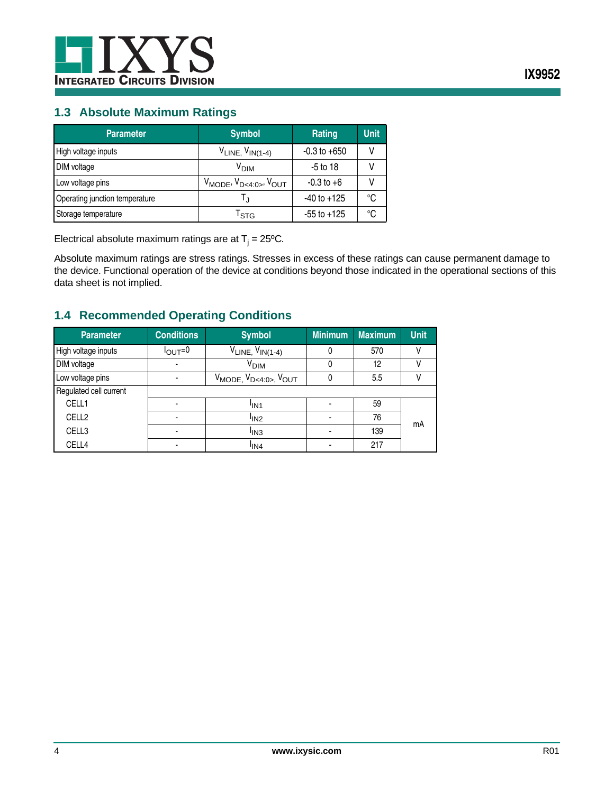

### <span id="page-3-0"></span>**1.3 Absolute Maximum Ratings**

| <b>Parameter</b>               | <b>Symbol</b>                         | Rating           | <b>Unit</b> |
|--------------------------------|---------------------------------------|------------------|-------------|
| High voltage inputs            | $V_{LINE, VIN(1-4)}$                  | $-0.3$ to $+650$ |             |
| DIM voltage                    | V <sub>DIM</sub>                      | $-5$ to 18       |             |
| Low voltage pins               | $V_{MODE}$ , $V_{D<4:0>}$ , $V_{OUT}$ | $-0.3$ to $+6$   |             |
| Operating junction temperature |                                       | $-40$ to $+125$  | °C          |
| Storage temperature            | l stg                                 | $-55$ to $+125$  | ℃           |

Electrical absolute maximum ratings are at  $T_j = 25^{\circ}$ C.

Absolute maximum ratings are stress ratings. Stresses in excess of these ratings can cause permanent damage to the device. Functional operation of the device at conditions beyond those indicated in the operational sections of this data sheet is not implied.

# <span id="page-3-1"></span>**1.4 Recommended Operating Conditions**

| <b>Parameter</b>       | <b>Conditions</b>        | <b>Symbol</b>                                                   | <b>Minimum</b> | <b>Maximum</b> | <b>Unit</b> |
|------------------------|--------------------------|-----------------------------------------------------------------|----------------|----------------|-------------|
| High voltage inputs    | $I_{\text{OUT}}=0$       | $V_{LINE, VIN(1-4)}$                                            | 0              | 570            |             |
| DIM voltage            | $\blacksquare$           | V <sub>DIM</sub>                                                | 0              | 12             |             |
| Low voltage pins       | $\blacksquare$           | V <sub>MODE,</sub> V <sub>D&lt;4:0&gt;</sub> , V <sub>OUT</sub> | 0              | 5.5            |             |
| Regulated cell current |                          |                                                                 |                |                |             |
| CELL1                  | ٠                        | <sup>I</sup> IN <sub>1</sub>                                    |                | 59             |             |
| CELL <sub>2</sub>      | $\blacksquare$           | <sup>I</sup> IN <sub>2</sub>                                    |                | 76             | mΑ          |
| CELL3                  | $\overline{\phantom{a}}$ | <sup>I</sup> IN <sub>3</sub>                                    |                | 139            |             |
| CELL4                  |                          | <sup>I</sup> IN4                                                |                | 217            |             |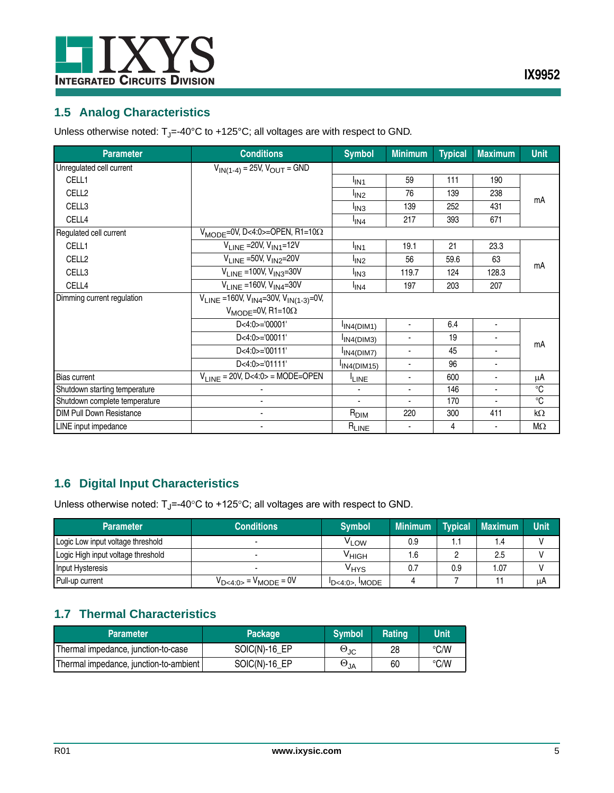

# <span id="page-4-0"></span>**1.5 Analog Characteristics**

Unless otherwise noted:  $T_J$ =-40°C to +125°C; all voltages are with respect to GND.

| <b>Parameter</b>                | <b>Conditions</b>                                    | <b>Symbol</b>                | <b>Minimum</b> | <b>Typical</b> | <b>Maximum</b> | <b>Unit</b> |  |
|---------------------------------|------------------------------------------------------|------------------------------|----------------|----------------|----------------|-------------|--|
| Unregulated cell current        | $V_{IN(1-4)} = 25V, V_{OUT} = GND$                   |                              |                |                |                |             |  |
| CELL1                           |                                                      | <sup>I</sup> IN <sub>1</sub> | 59             | 111            | 190            |             |  |
| CELL <sub>2</sub>               |                                                      | <sup>I</sup> IN <sub>2</sub> | 76             | 139            | 238            |             |  |
| CELL3                           |                                                      | <sup>I</sup> IN3             | 139            | 252            | 431            | mΑ          |  |
| CELL4                           |                                                      | l <sub>IN4</sub>             | 217            | 393            | 671            |             |  |
| Regulated cell current          | $V_{\text{MODE}} = 0V$ , D<4:0>=OPEN, R1=10 $\Omega$ |                              |                |                |                |             |  |
| CELL1                           | $V_{I INF}$ = 20V, $V_{IN1}$ = 12V                   | <sup>I</sup> IN <sub>1</sub> | 19.1           | 21             | 23.3           |             |  |
| CELL <sub>2</sub>               | $V_{LINE}$ =50V, $V_{IN2}$ =20V                      | <sup>I</sup> IN <sub>2</sub> | 56             | 59.6           | 63             |             |  |
| CELL3                           | $V_{LINE} = 100V, V_{IN3} = 30V$                     | <sup>I</sup> IN <sub>3</sub> | 119.7          | 124            | 128.3          | mA          |  |
| CELL4                           | $V_{I INF}$ =160V, $V_{IN4}$ =30V                    | <sup>I</sup> IN4             | 197            | 203            | 207            |             |  |
| Dimming current regulation      | $V_{LINE}$ =160V, $V_{IN4}$ =30V, $V_{IN(1-3)}$ =0V, |                              |                |                |                |             |  |
|                                 | $V_{MODE} = 0V$ , R1=10 $\Omega$                     |                              |                |                |                |             |  |
|                                 | $D < 4:0 > = 00001$                                  | IN4(DIM1)                    | $\blacksquare$ | 6.4            | $\blacksquare$ |             |  |
|                                 | D<4:0>='00011'                                       | IN4(DIM3)                    | ٠              | 19             |                |             |  |
|                                 | D<4:0>='00111'                                       | IN4(DIM7)                    | $\blacksquare$ | 45             | ٠              | mΑ          |  |
|                                 | D<4:0>='01111'                                       | $IIN4(DIM15)$                | ٠              | 96             |                |             |  |
| <b>Bias current</b>             | $V_{LINE}$ = 20V, D<4:0> = MODE=OPEN                 | <sup>I</sup> LINE            | ٠              | 600            | ٠              | μA          |  |
| Shutdown starting temperature   |                                                      |                              | $\blacksquare$ | 146            | $\blacksquare$ | °C          |  |
| Shutdown complete temperature   |                                                      | ä,                           | $\blacksquare$ | 170            | ä,             | $^{\circ}C$ |  |
| <b>DIM Pull Down Resistance</b> |                                                      | $R_{\text{DIM}}$             | 220            | 300            | 411            | kΩ          |  |
| LINE input impedance            |                                                      |                              |                | 4              |                | $M\Omega$   |  |

# <span id="page-4-1"></span>**1.6 Digital Input Characteristics**

Unless otherwise noted:  $T_J$ =-40°C to +125°C; all voltages are with respect to GND.

| <b>Parameter</b>                   | <b>Conditions</b>              | <b>Symbol</b>              | <b>Minimum</b> | <b>Typical</b> | <b>Maximum</b> | <b>Unit</b> |
|------------------------------------|--------------------------------|----------------------------|----------------|----------------|----------------|-------------|
| Logic Low input voltage threshold  |                                | <sup>V</sup> LOW           | 0.9            |                | 1.4            |             |
| Logic High input voltage threshold |                                | <sup>∨</sup> ніGН          | 6.،            |                | 2.5            |             |
| Input Hysteresis                   |                                | V <sub>HYS</sub>           |                | 0.9            | 1.07           |             |
| Pull-up current                    | $V_{D<4:0>}$ = $V_{MODE}$ = 0V | $\overline{D}$ <4:0>. MODE |                |                |                | μA          |

# <span id="page-4-2"></span>**1.7 Thermal Characteristics**

| <b>Parameter</b>                       | <b>Package</b> | <b>Symbol</b>        | Rating | <b>Unit</b> |
|----------------------------------------|----------------|----------------------|--------|-------------|
| Thermal impedance, junction-to-case    | $SOIC(N)-16EP$ | $\Theta_{\text{JC}}$ | 28     | °C/W        |
| Thermal impedance, junction-to-ambient | $SOIC(N)-16EP$ | $\Theta_{JA}$        | 60     | °C/W        |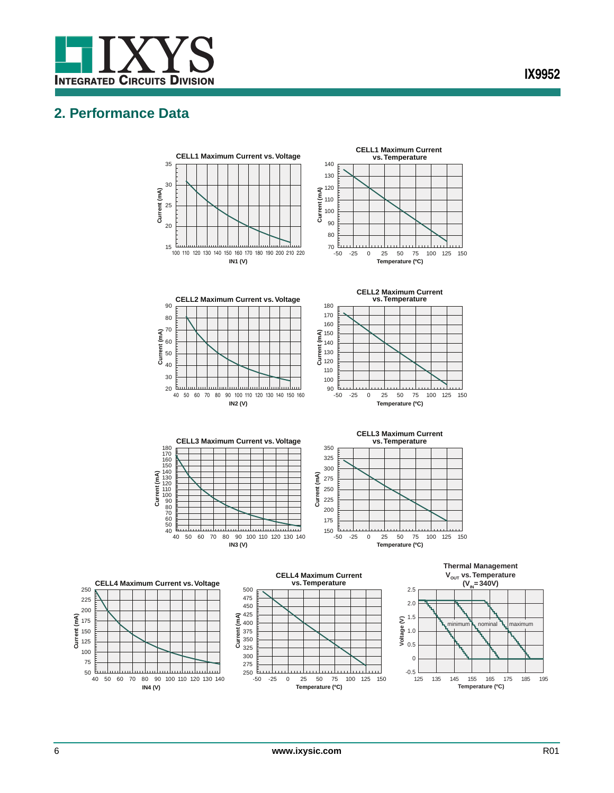

# <span id="page-5-0"></span>**2. Performance Data**



**Temperature (ºC)**

**Current (mA)**

**IN4 (V)**

**Temperature (ºC)**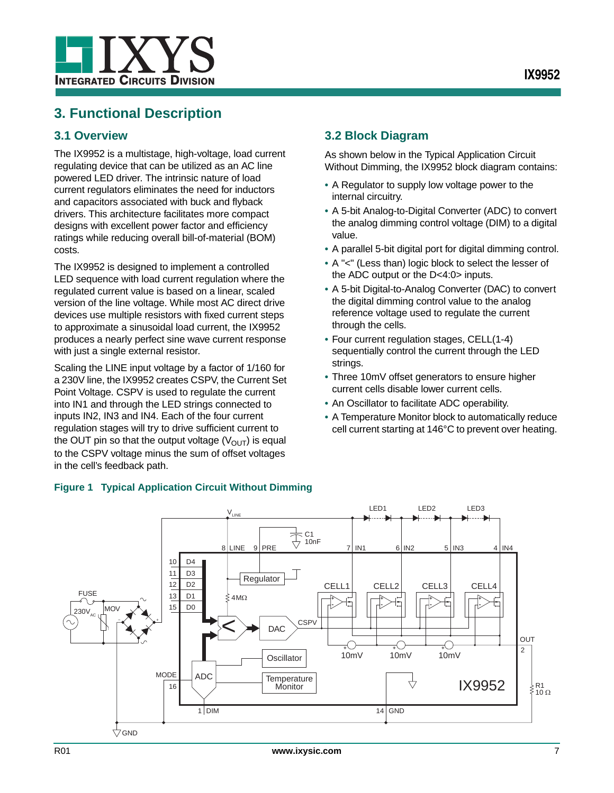

# <span id="page-6-0"></span>**3. Functional Description**

## <span id="page-6-1"></span>**3.1 Overview**

The IX9952 is a multistage, high-voltage, load current regulating device that can be utilized as an AC line powered LED driver. The intrinsic nature of load current regulators eliminates the need for inductors and capacitors associated with buck and flyback drivers. This architecture facilitates more compact designs with excellent power factor and efficiency ratings while reducing overall bill-of-material (BOM) costs.

The IX9952 is designed to implement a controlled LED sequence with load current regulation where the regulated current value is based on a linear, scaled version of the line voltage. While most AC direct drive devices use multiple resistors with fixed current steps to approximate a sinusoidal load current, the IX9952 produces a nearly perfect sine wave current response with just a single external resistor.

Scaling the LINE input voltage by a factor of 1/160 for a 230V line, the IX9952 creates CSPV, the Current Set Point Voltage. CSPV is used to regulate the current into IN1 and through the LED strings connected to inputs IN2, IN3 and IN4. Each of the four current regulation stages will try to drive sufficient current to the OUT pin so that the output voltage  $(V<sub>OUT</sub>)$  is equal to the CSPV voltage minus the sum of offset voltages in the cell's feedback path.

# <span id="page-6-2"></span>**3.2 Block Diagram**

As shown below in the [Typical Application Circuit](#page-6-3)  [Without Dimming,](#page-6-3) the IX9952 block diagram contains:

- **•** A Regulator to supply low voltage power to the internal circuitry.
- **•** A 5-bit Analog-to-Digital Converter (ADC) to convert the analog dimming control voltage (DIM) to a digital value.
- **•** A parallel 5-bit digital port for digital dimming control.
- **•** A "<" (Less than) logic block to select the lesser of the ADC output or the D<4:0> inputs.
- **•** A 5-bit Digital-to-Analog Converter (DAC) to convert the digital dimming control value to the analog reference voltage used to regulate the current through the cells.
- **•** Four current regulation stages, CELL(1-4) sequentially control the current through the LED strings.
- **•** Three 10mV offset generators to ensure higher current cells disable lower current cells.
- **•** An Oscillator to facilitate ADC operability.
- **•** A Temperature Monitor block to automatically reduce cell current starting at 146°C to prevent over heating.



### <span id="page-6-3"></span>**Figure 1 Typical Application Circuit Without Dimming**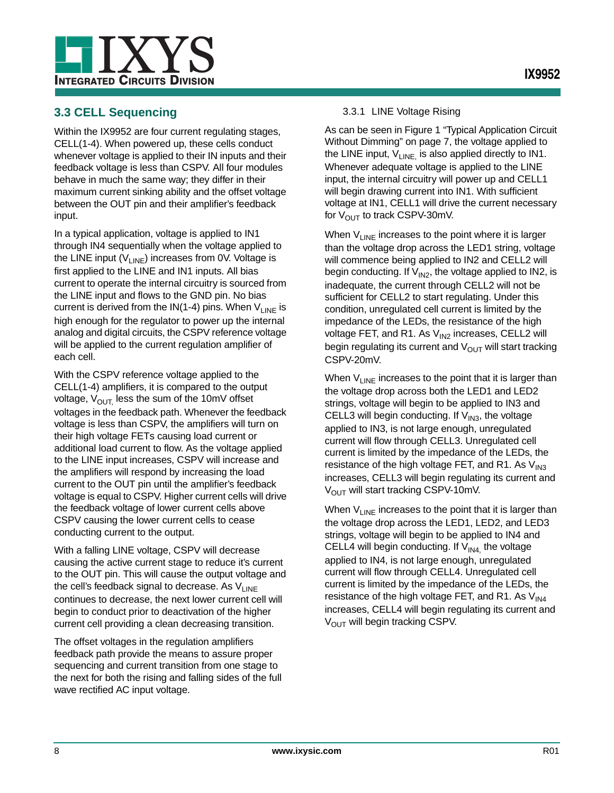

# <span id="page-7-0"></span>**3.3 CELL Sequencing**

Within the IX9952 are four current regulating stages, CELL(1-4). When powered up, these cells conduct whenever voltage is applied to their IN inputs and their feedback voltage is less than CSPV. All four modules behave in much the same way; they differ in their maximum current sinking ability and the offset voltage between the OUT pin and their amplifier's feedback input.

In a typical application, voltage is applied to IN1 through IN4 sequentially when the voltage applied to the LINE input  $(V_{LINE})$  increases from 0V. Voltage is first applied to the LINE and IN1 inputs. All bias current to operate the internal circuitry is sourced from the LINE input and flows to the GND pin. No bias current is derived from the  $IN(1-4)$  pins. When  $V_{LINE}$  is high enough for the regulator to power up the internal analog and digital circuits, the CSPV reference voltage will be applied to the current regulation amplifier of each cell.

With the CSPV reference voltage applied to the CELL(1-4) amplifiers, it is compared to the output voltage,  $V_{\text{OUT}}$  less the sum of the 10mV offset voltages in the feedback path. Whenever the feedback voltage is less than CSPV, the amplifiers will turn on their high voltage FETs causing load current or additional load current to flow. As the voltage applied to the LINE input increases, CSPV will increase and the amplifiers will respond by increasing the load current to the OUT pin until the amplifier's feedback voltage is equal to CSPV. Higher current cells will drive the feedback voltage of lower current cells above CSPV causing the lower current cells to cease conducting current to the output.

With a falling LINE voltage, CSPV will decrease causing the active current stage to reduce it's current to the OUT pin. This will cause the output voltage and the cell's feedback signal to decrease. As  $V_{LINE}$ continues to decrease, the next lower current cell will begin to conduct prior to deactivation of the higher current cell providing a clean decreasing transition.

The offset voltages in the regulation amplifiers feedback path provide the means to assure proper sequencing and current transition from one stage to the next for both the rising and falling sides of the full wave rectified AC input voltage.

#### 3.3.1 LINE Voltage Rising

As can be seen in [Figure 1 "Typical Application Circuit](#page-6-3)  [Without Dimming" on page 7](#page-6-3), the voltage applied to the LINE input,  $V_{LINE}$  is also applied directly to IN1. Whenever adequate voltage is applied to the LINE input, the internal circuitry will power up and CELL1 will begin drawing current into IN1. With sufficient voltage at IN1, CELL1 will drive the current necessary for  $V_{\text{OUT}}$  to track CSPV-30mV.

When  $V_{LINE}$  increases to the point where it is larger than the voltage drop across the LED1 string, voltage will commence being applied to IN2 and CELL2 will begin conducting. If  $V_{1N2}$ , the voltage applied to IN2, is inadequate, the current through CELL2 will not be sufficient for CELL2 to start regulating. Under this condition, unregulated cell current is limited by the impedance of the LEDs, the resistance of the high voltage FET, and R1. As  $V_{1N2}$  increases, CELL2 will begin regulating its current and  $V_{\text{OUT}}$  will start tracking CSPV-20mV.

When  $V_{LINE}$  increases to the point that it is larger than the voltage drop across both the LED1 and LED2 strings, voltage will begin to be applied to IN3 and CELL3 will begin conducting. If  $V_{IN3}$ , the voltage applied to IN3, is not large enough, unregulated current will flow through CELL3. Unregulated cell current is limited by the impedance of the LEDs, the resistance of the high voltage FET, and R1. As  $V_{IN3}$ increases, CELL3 will begin regulating its current and  $V<sub>OUT</sub>$  will start tracking CSPV-10mV.

When  $V_{LINE}$  increases to the point that it is larger than the voltage drop across the LED1, LED2, and LED3 strings, voltage will begin to be applied to IN4 and CELL4 will begin conducting. If  $V_{1N4}$  the voltage applied to IN4, is not large enough, unregulated current will flow through CELL4. Unregulated cell current is limited by the impedance of the LEDs, the resistance of the high voltage FET, and R1. As  $V_{IN4}$ increases, CELL4 will begin regulating its current and V<sub>OUT</sub> will begin tracking CSPV.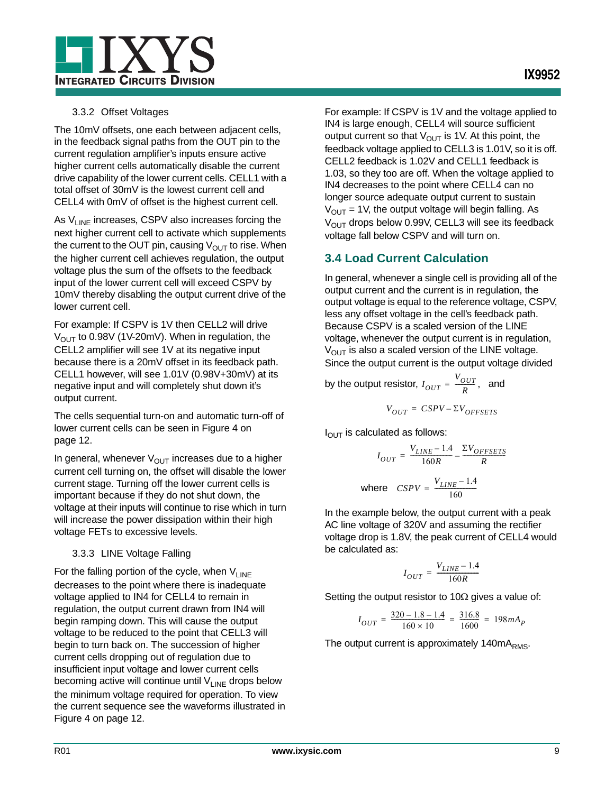

#### 3.3.2 Offset Voltages

The 10mV offsets, one each between adjacent cells, in the feedback signal paths from the OUT pin to the current regulation amplifier's inputs ensure active higher current cells automatically disable the current drive capability of the lower current cells. CELL1 with a total offset of 30mV is the lowest current cell and CELL4 with 0mV of offset is the highest current cell.

As  $V_{LINE}$  increases, CSPV also increases forcing the next higher current cell to activate which supplements the current to the OUT pin, causing  $V_{\text{OUT}}$  to rise. When the higher current cell achieves regulation, the output voltage plus the sum of the offsets to the feedback input of the lower current cell will exceed CSPV by 10mV thereby disabling the output current drive of the lower current cell.

For example: If CSPV is 1V then CELL2 will drive  $V<sub>OUT</sub>$  to 0.98V (1V-20mV). When in regulation, the CELL2 amplifier will see 1V at its negative input because there is a 20mV offset in its feedback path. CELL1 however, will see 1.01V (0.98V+30mV) at its negative input and will completely shut down it's output current.

The cells sequential turn-on and automatic turn-off of lower current cells can be seen in [Figure 4 on](#page-11-0)  [page 12](#page-11-0).

In general, whenever  $V_{\text{OUT}}$  increases due to a higher current cell turning on, the offset will disable the lower current stage. Turning off the lower current cells is important because if they do not shut down, the voltage at their inputs will continue to rise which in turn will increase the power dissipation within their high voltage FETs to excessive levels.

#### 3.3.3 LINE Voltage Falling

For the falling portion of the cycle, when  $V_{LINE}$ decreases to the point where there is inadequate voltage applied to IN4 for CELL4 to remain in regulation, the output current drawn from IN4 will begin ramping down. This will cause the output voltage to be reduced to the point that CELL3 will begin to turn back on. The succession of higher current cells dropping out of regulation due to insufficient input voltage and lower current cells becoming active will continue until  $V_{LINE}$  drops below the minimum voltage required for operation. To view the current sequence see the waveforms illustrated in [Figure 4 on page 12.](#page-11-0)

For example: If CSPV is 1V and the voltage applied to IN4 is large enough, CELL4 will source sufficient output current so that  $V_{\text{OUT}}$  is 1V. At this point, the feedback voltage applied to CELL3 is 1.01V, so it is off. CELL2 feedback is 1.02V and CELL1 feedback is 1.03, so they too are off. When the voltage applied to IN4 decreases to the point where CELL4 can no longer source adequate output current to sustain  $V_{OUT}$  = 1V, the output voltage will begin falling. As  $V_{\text{OUT}}$  drops below 0.99V, CELL3 will see its feedback voltage fall below CSPV and will turn on.

# <span id="page-8-0"></span>**3.4 Load Current Calculation**

In general, whenever a single cell is providing all of the output current and the current is in regulation, the output voltage is equal to the reference voltage, CSPV, less any offset voltage in the cell's feedback path. Because CSPV is a scaled version of the LINE voltage, whenever the output current is in regulation,  $V_{\text{OUT}}$  is also a scaled version of the LINE voltage. Since the output current is the output voltage divided

by the output resistor,  $I_{OUT} = \frac{V_{OUT}}{R}$ , and

$$
V_{OUT} = CSPV - \Sigma V_{OFFSETS}
$$

 $I_{\text{OUT}}$  is calculated as follows:

$$
I_{OUT} = \frac{V_{LINE} - 1.4}{160R} - \frac{\Sigma V_{OFFSETS}}{R}
$$
  
where 
$$
CSPV = \frac{V_{LINE} - 1.4}{160}
$$

In the example below, the output current with a peak AC line voltage of 320V and assuming the rectifier voltage drop is 1.8V, the peak current of CELL4 would be calculated as:

$$
I_{OUT} = \frac{V_{LINE} - 1.4}{160R}
$$

Setting the output resistor to 10 $\Omega$  gives a value of:

$$
I_{OUT} = \frac{320 - 1.8 - 1.4}{160 \times 10} = \frac{316.8}{1600} = 198 mA_P
$$

The output current is approximately 140mA<sub>RMS</sub>.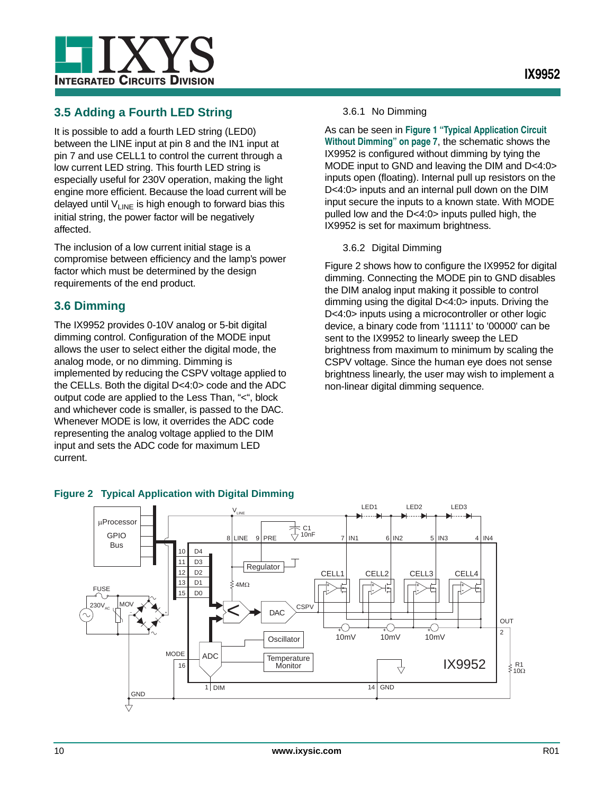

# <span id="page-9-0"></span>**3.5 Adding a Fourth LED String**

It is possible to add a fourth LED string (LED0) between the LINE input at pin 8 and the IN1 input at pin 7 and use CELL1 to control the current through a low current LED string. This fourth LED string is especially useful for 230V operation, making the light engine more efficient. Because the load current will be delayed until  $V_{LINE}$  is high enough to forward bias this initial string, the power factor will be negatively affected.

The inclusion of a low current initial stage is a compromise between efficiency and the lamp's power factor which must be determined by the design requirements of the end product.

# <span id="page-9-1"></span>**3.6 Dimming**

The IX9952 provides 0-10V analog or 5-bit digital dimming control. Configuration of the MODE input allows the user to select either the digital mode, the analog mode, or no dimming. Dimming is implemented by reducing the CSPV voltage applied to the CELLs. Both the digital D<4:0> code and the ADC output code are applied to the Less Than, "<", block and whichever code is smaller, is passed to the DAC. Whenever MODE is low, it overrides the ADC code representing the analog voltage applied to the DIM input and sets the ADC code for maximum LED current.

#### 3.6.1 No Dimming

As can be seen in **[Figure 1 "Typical Application Circuit](#page-6-3)  [Without Dimming" on page 7](#page-6-3)**, the schematic shows the IX9952 is configured without dimming by tying the MODE input to GND and leaving the DIM and D<4:0> inputs open (floating). Internal pull up resistors on the D<4:0> inputs and an internal pull down on the DIM input secure the inputs to a known state. With MODE pulled low and the D<4:0> inputs pulled high, the IX9952 is set for maximum brightness.

#### 3.6.2 Digital Dimming

[Figure 2](#page-9-2) shows how to configure the IX9952 for digital dimming. Connecting the MODE pin to GND disables the DIM analog input making it possible to control dimming using the digital D<4:0> inputs. Driving the D<4:0> inputs using a microcontroller or other logic device, a binary code from '11111' to '00000' can be sent to the IX9952 to linearly sweep the LED brightness from maximum to minimum by scaling the CSPV voltage. Since the human eye does not sense brightness linearly, the user may wish to implement a non-linear digital dimming sequence.



### <span id="page-9-2"></span>**Figure 2 Typical Application with Digital Dimming**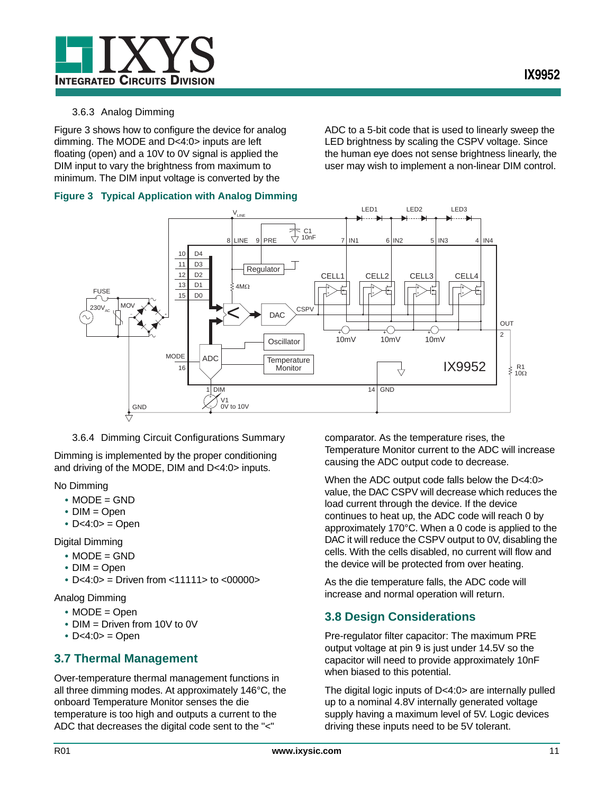#### 3.6.3 Analog Dimming

[Figure 3](#page-10-2) shows how to configure the device for analog dimming. The MODE and D<4:0> inputs are left floating (open) and a 10V to 0V signal is applied the DIM input to vary the brightness from maximum to minimum. The DIM input voltage is converted by the

ADC to a 5-bit code that is used to linearly sweep the LED brightness by scaling the CSPV voltage. Since the human eye does not sense brightness linearly, the user may wish to implement a non-linear DIM control.

#### <span id="page-10-2"></span>**Figure 3 Typical Application with Analog Dimming**



3.6.4 Dimming Circuit Configurations Summary

Dimming is implemented by the proper conditioning and driving of the MODE, DIM and D<4:0> inputs.

No Dimming

- **•** MODE = GND
- **•** DIM = Open
- **•** D<4:0> = Open

Digital Dimming

- **•** MODE = GND
- **•** DIM = Open
- **•** D<4:0> = Driven from <11111> to <00000>

Analog Dimming

- **•** MODE = Open
- **•** DIM = Driven from 10V to 0V
- **•** D<4:0> = Open

### <span id="page-10-0"></span>**3.7 Thermal Management**

Over-temperature thermal management functions in all three dimming modes. At approximately 146°C, the onboard Temperature Monitor senses the die temperature is too high and outputs a current to the ADC that decreases the digital code sent to the "<"

comparator. As the temperature rises, the Temperature Monitor current to the ADC will increase causing the ADC output code to decrease.

When the ADC output code falls below the D<4:0> value, the DAC CSPV will decrease which reduces the load current through the device. If the device continues to heat up, the ADC code will reach 0 by approximately 170°C. When a 0 code is applied to the DAC it will reduce the CSPV output to 0V, disabling the cells. With the cells disabled, no current will flow and the device will be protected from over heating.

As the die temperature falls, the ADC code will increase and normal operation will return.

# <span id="page-10-1"></span>**3.8 Design Considerations**

Pre-regulator filter capacitor: The maximum PRE output voltage at pin 9 is just under 14.5V so the capacitor will need to provide approximately 10nF when biased to this potential.

The digital logic inputs of D<4:0> are internally pulled up to a nominal 4.8V internally generated voltage supply having a maximum level of 5V. Logic devices driving these inputs need to be 5V tolerant.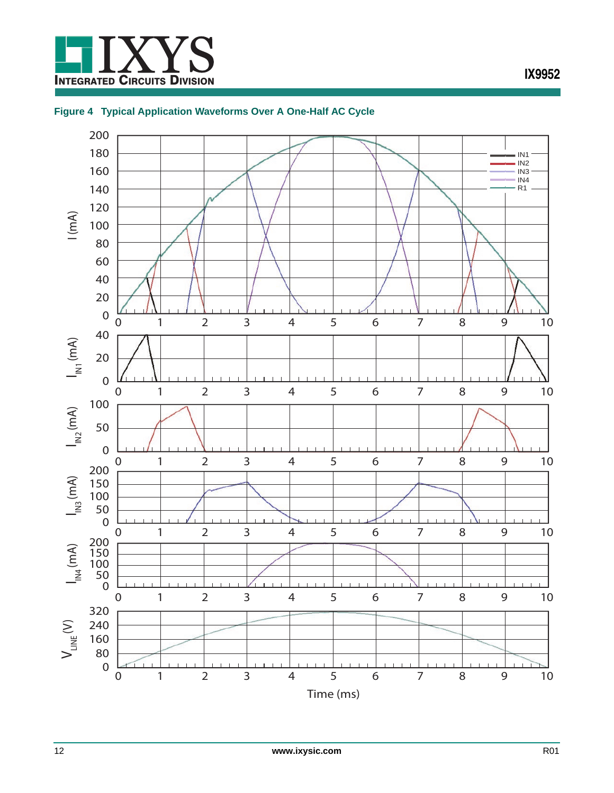

### <span id="page-11-0"></span>**Figure 4 Typical Application Waveforms Over A One-Half AC Cycle**

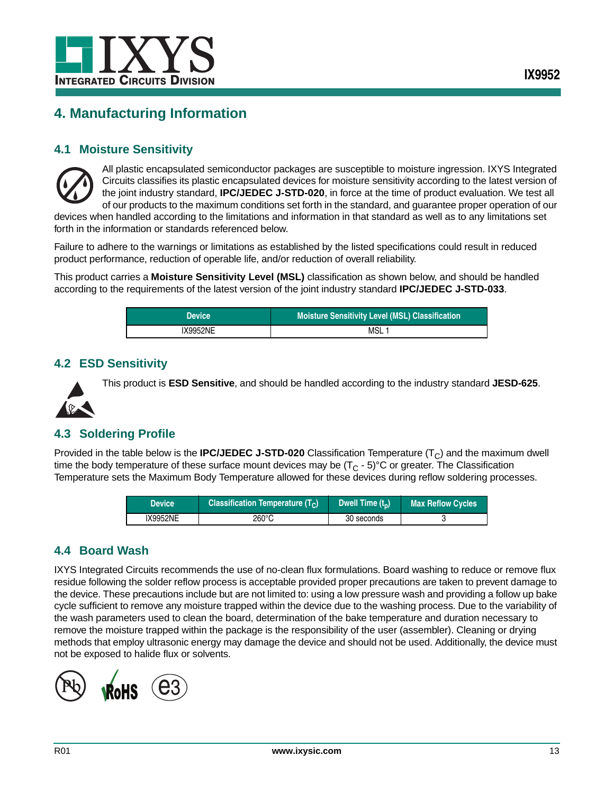

# <span id="page-12-0"></span>**4. Manufacturing Information**

### <span id="page-12-1"></span>**4.1 Moisture Sensitivity**



All plastic encapsulated semiconductor packages are susceptible to moisture ingression. IXYS Integrated Circuits classifies its plastic encapsulated devices for moisture sensitivity according to the latest version of the joint industry standard, **IPC/JEDEC J-STD-020**, in force at the time of product evaluation. We test all of our products to the maximum conditions set forth in the standard, and guarantee proper operation of our

devices when handled according to the limitations and information in that standard as well as to any limitations set forth in the information or standards referenced below.

Failure to adhere to the warnings or limitations as established by the listed specifications could result in reduced product performance, reduction of operable life, and/or reduction of overall reliability.

This product carries a **Moisture Sensitivity Level (MSL)** classification as shown below, and should be handled according to the requirements of the latest version of the joint industry standard **IPC/JEDEC J-STD-033**.

| <b>Device</b> | Moisture Sensitivity Level (MSL) Classification |
|---------------|-------------------------------------------------|
| IX9952NE      | MSL                                             |

### <span id="page-12-2"></span>**4.2 ESD Sensitivity**

This product is **ESD Sensitive**, and should be handled according to the industry standard **JESD-625**.

# <span id="page-12-3"></span>**4.3 Soldering Profile**

Provided in the table below is the **IPC/JEDEC J-STD-020** Classification Temperature  $(T<sub>C</sub>)$  and the maximum dwell time the body temperature of these surface mount devices may be  $(T<sub>C</sub> - 5)$ °C or greater. The Classification Temperature sets the Maximum Body Temperature allowed for these devices during reflow soldering processes.

| <b>Device</b>   | Classification Temperature $(T_C)$ |            | <b>Max Reflow Cycles</b> |
|-----------------|------------------------------------|------------|--------------------------|
| <b>IX9952NE</b> | 260°C                              | 30 seconds |                          |

### <span id="page-12-4"></span>**4.4 Board Wash**

IXYS Integrated Circuits recommends the use of no-clean flux formulations. Board washing to reduce or remove flux residue following the solder reflow process is acceptable provided proper precautions are taken to prevent damage to the device. These precautions include but are not limited to: using a low pressure wash and providing a follow up bake cycle sufficient to remove any moisture trapped within the device due to the washing process. Due to the variability of the wash parameters used to clean the board, determination of the bake temperature and duration necessary to remove the moisture trapped within the package is the responsibility of the user (assembler). Cleaning or drying methods that employ ultrasonic energy may damage the device and should not be used. Additionally, the device must not be exposed to halide flux or solvents.